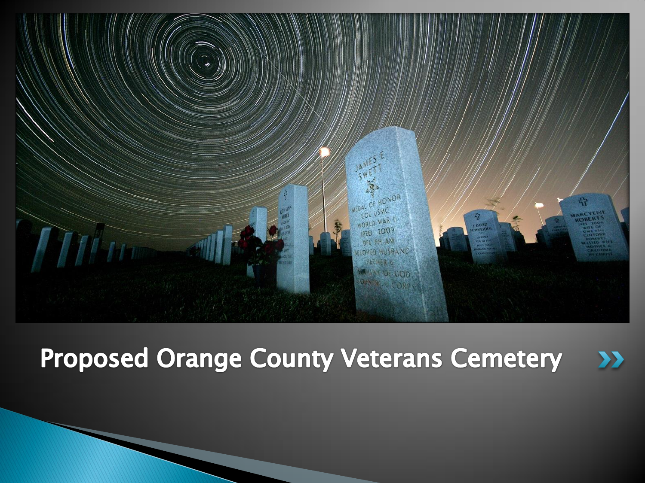

#### **Proposed Orange County Veterans Cemetery**  $\boldsymbol{\Sigma}$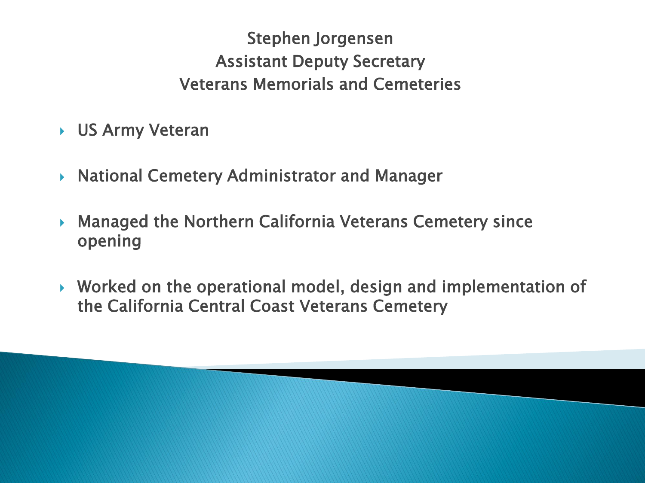Stephen Jorgensen Assistant Deputy Secretary Veterans Memorials and Cemeteries

- US Army Veteran
- National Cemetery Administrator and Manager
- Managed the Northern California Veterans Cemetery since opening
- ▶ Worked on the operational model, design and implementation of the California Central Coast Veterans Cemetery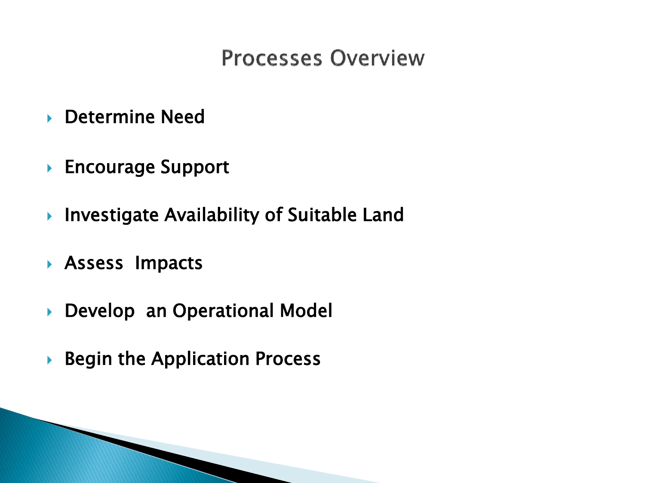# **Processes Overview**

- ▶ Determine Need
- ▶ Encourage Support
- ▶ Investigate Availability of Suitable Land
- Assess Impacts
- Develop an Operational Model
- $\triangleright$  Begin the Application Process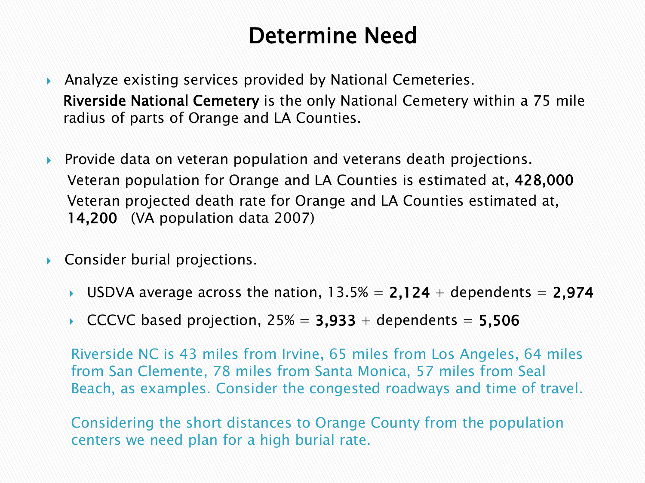# Determine Need

- Analyze existing services provided by National Cemeteries. Riverside National Cemetery is the only National Cemetery within a 75 mile radius of parts of Orange and LA Counties.
- **Provide data on veteran population and veterans death projections.** Veteran population for Orange and LA Counties is estimated at, 428,000 Veteran projected death rate for Orange and LA Counties estimated at, 14,200 (VA population data 2007)
- ▶ Consider burial projections.
	- USDVA average across the nation,  $13.5% = 2,124 +$  dependents = 2,974
	- CCCVC based projection,  $25\% = 3,933 +$  dependents = 5,506

Riverside NC is 43 miles from Irvine, 65 miles from Los Angeles, 64 miles from San Clemente, 78 miles from Santa Monica, 57 miles from Seal Beach, as examples. Consider the congested roadways and time of travel.

Considering the short distances to Orange County from the population centers we need plan for a high burial rate.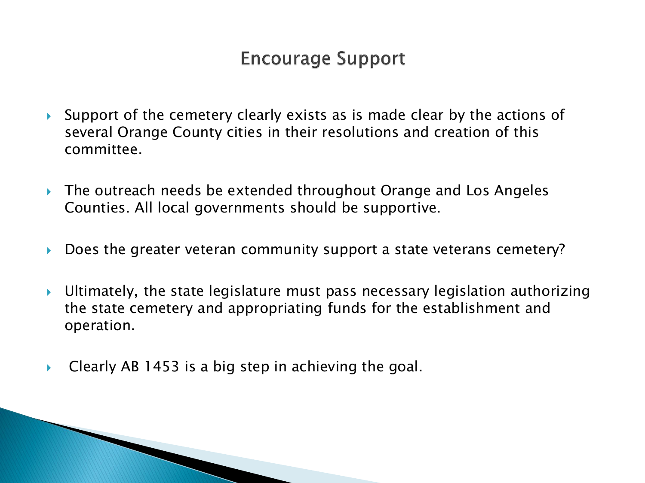### **Encourage Support**

- Support of the cemetery clearly exists as is made clear by the actions of several Orange County cities in their resolutions and creation of this committee.
- ▶ The outreach needs be extended throughout Orange and Los Angeles Counties. All local governments should be supportive.
- Does the greater veteran community support a state veterans cemetery?
- Ultimately, the state legislature must pass necessary legislation authorizing the state cemetery and appropriating funds for the establishment and operation.
- $\triangleright$  Clearly AB 1453 is a big step in achieving the goal.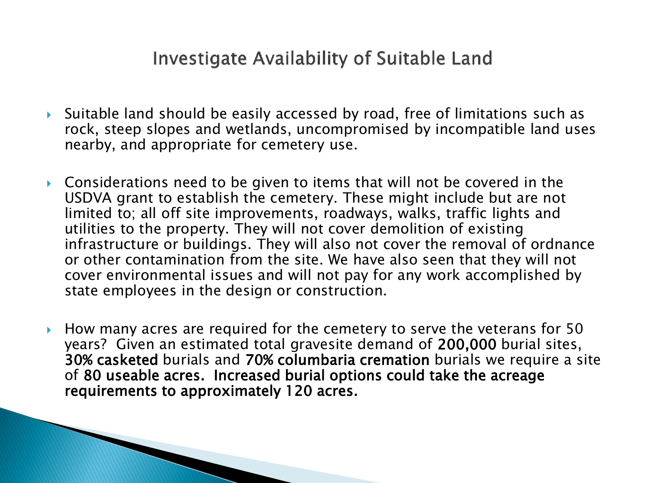#### Investigate Availability of Suitable Land

- Suitable land should be easily accessed by road, free of limitations such as rock, steep slopes and wetlands, uncompromised by incompatible land uses nearby, and appropriate for cemetery use.
- ▶ Considerations need to be given to items that will not be covered in the USDVA grant to establish the cemetery. These might include but are not limited to; all off site improvements, roadways, walks, traffic lights and utilities to the property. They will not cover demolition of existing infrastructure or buildings. They will also not cover the removal of ordnance or other contamination from the site. We have also seen that they will not cover environmental issues and will not pay for any work accomplished by state employees in the design or construction.
- ► How many acres are required for the cemetery to serve the veterans for 50 years? Given an estimated total gravesite demand of 200,000 burial sites, 30% casketed burials and 70% columbaria cremation burials we require a site of 80 useable acres. Increased burial options could take the acreage requirements to approximately 120 acres.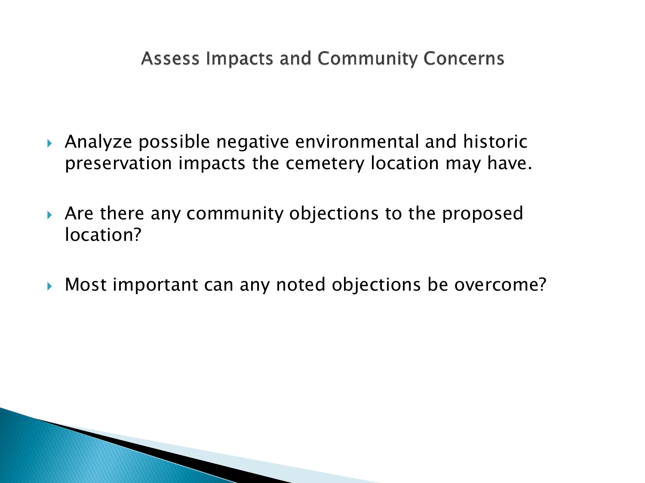**Assess Impacts and Community Concerns** 

- Analyze possible negative environmental and historic preservation impacts the cemetery location may have.
- Are there any community objections to the proposed location?
- Most important can any noted objections be overcome?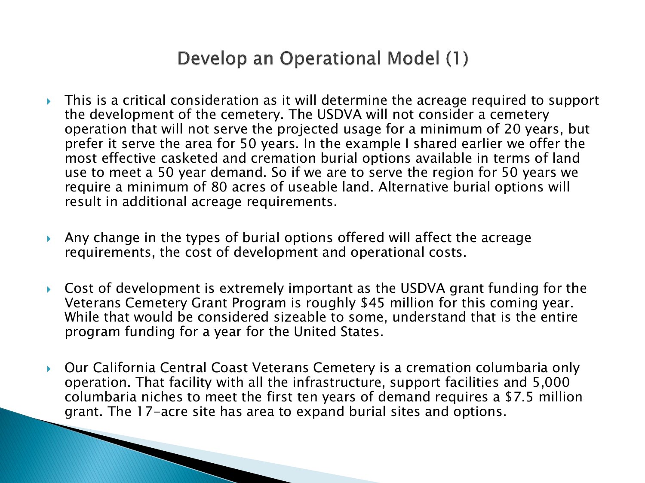# Develop an Operational Model (1)

- This is a critical consideration as it will determine the acreage required to support the development of the cemetery. The USDVA will not consider a cemetery operation that will not serve the projected usage for a minimum of 20 years, but prefer it serve the area for 50 years. In the example I shared earlier we offer the most effective casketed and cremation burial options available in terms of land use to meet a 50 year demand. So if we are to serve the region for 50 years we require a minimum of 80 acres of useable land. Alternative burial options will result in additional acreage requirements.
- Any change in the types of burial options offered will affect the acreage requirements, the cost of development and operational costs.
- Cost of development is extremely important as the USDVA grant funding for the Veterans Cemetery Grant Program is roughly \$45 million for this coming year. While that would be considered sizeable to some, understand that is the entire program funding for a year for the United States.
- Our California Central Coast Veterans Cemetery is a cremation columbaria only operation. That facility with all the infrastructure, support facilities and 5,000 columbaria niches to meet the first ten years of demand requires a \$7.5 million grant. The 17-acre site has area to expand burial sites and options.

and the contract of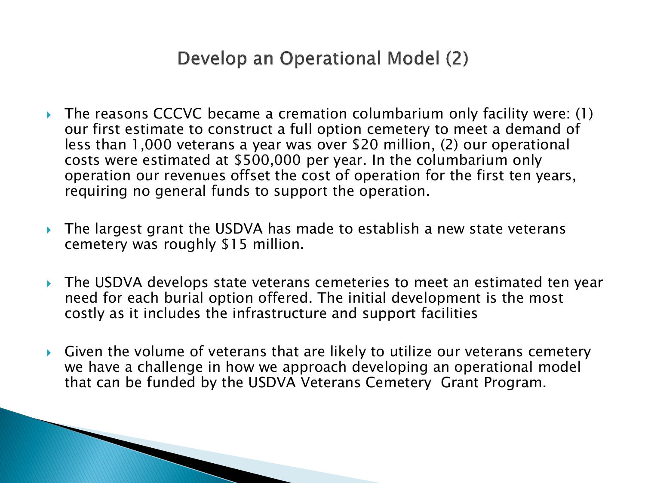# Develop an Operational Model (2)

- The reasons CCCVC became a cremation columbarium only facility were: (1) our first estimate to construct a full option cemetery to meet a demand of less than 1,000 veterans a year was over \$20 million, (2) our operational costs were estimated at \$500,000 per year. In the columbarium only operation our revenues offset the cost of operation for the first ten years, requiring no general funds to support the operation.
- ▶ The largest grant the USDVA has made to establish a new state veterans cemetery was roughly \$15 million.
- ▶ The USDVA develops state veterans cemeteries to meet an estimated ten year need for each burial option offered. The initial development is the most costly as it includes the infrastructure and support facilities
- Given the volume of veterans that are likely to utilize our veterans cemetery we have a challenge in how we approach developing an operational model that can be funded by the USDVA Veterans Cemetery Grant Program.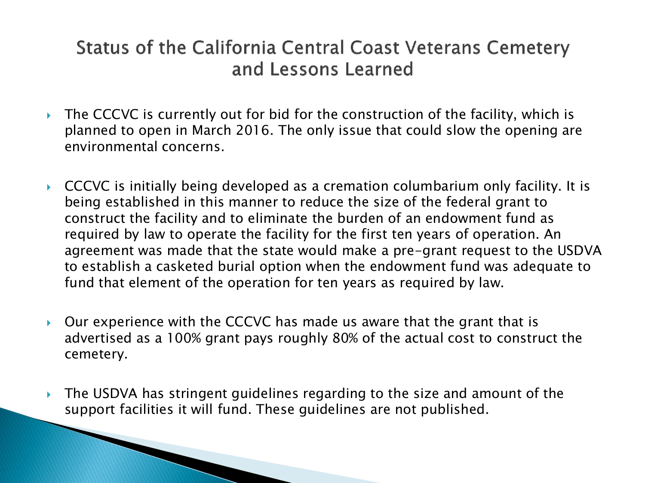# Status of the California Central Coast Veterans Cemetery and Lessons Learned

- $\triangleright$  The CCCVC is currently out for bid for the construction of the facility, which is planned to open in March 2016. The only issue that could slow the opening are environmental concerns.
- CCCVC is initially being developed as a cremation columbarium only facility. It is being established in this manner to reduce the size of the federal grant to construct the facility and to eliminate the burden of an endowment fund as required by law to operate the facility for the first ten years of operation. An agreement was made that the state would make a pre-grant request to the USDVA to establish a casketed burial option when the endowment fund was adequate to fund that element of the operation for ten years as required by law.
- $\triangleright$  Our experience with the CCCVC has made us aware that the grant that is advertised as a 100% grant pays roughly 80% of the actual cost to construct the cemetery.
- The USDVA has stringent guidelines regarding to the size and amount of the support facilities it will fund. These guidelines are not published.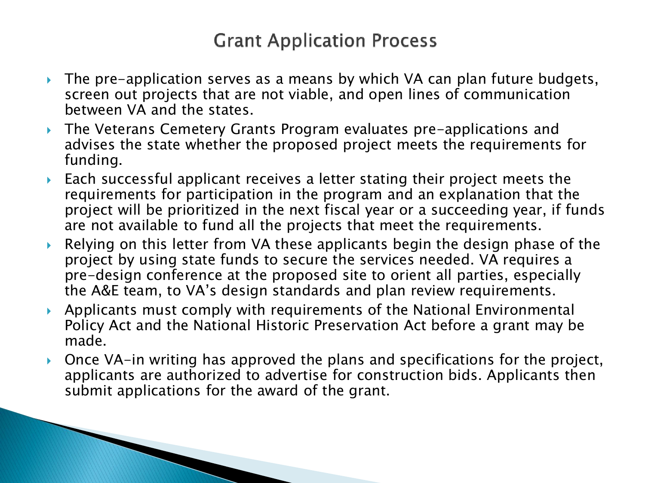# **Grant Application Process**

- ▶ The pre-application serves as a means by which VA can plan future budgets, screen out projects that are not viable, and open lines of communication between VA and the states.
- The Veterans Cemetery Grants Program evaluates pre-applications and advises the state whether the proposed project meets the requirements for funding.
- Each successful applicant receives a letter stating their project meets the requirements for participation in the program and an explanation that the project will be prioritized in the next fiscal year or a succeeding year, if funds are not available to fund all the projects that meet the requirements.
- Relying on this letter from VA these applicants begin the design phase of the project by using state funds to secure the services needed. VA requires a pre-design conference at the proposed site to orient all parties, especially the A&E team, to VA's design standards and plan review requirements.
- Applicants must comply with requirements of the National Environmental Policy Act and the National Historic Preservation Act before a grant may be made.
- ▶ Once VA-in writing has approved the plans and specifications for the project, applicants are authorized to advertise for construction bids. Applicants then submit applications for the award of the grant.